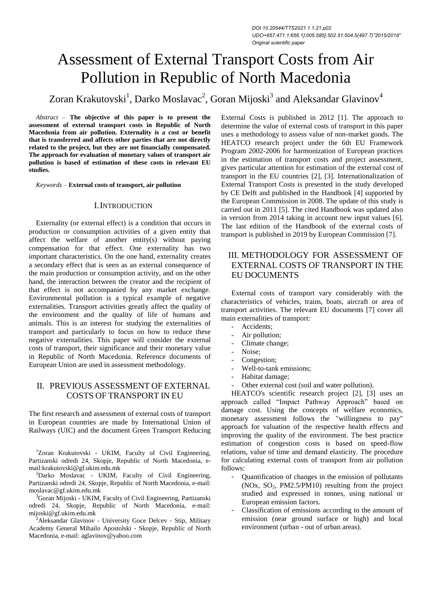# Assessment of External Transport Costs from Air Pollution in Republic of North Macedonia

Zoran Krakutovski $^1$ , Darko Moslavac $^2$ , Goran Mijoski $^3$  and Aleksandar Glavinov $^4$ 

*Abstract –* **The objective of this paper is to present the assessment of external transport costs in Republic of North Macedonia from air pollution. Externality is a cost or benefit that is transferred and affects other parties that are not directly related to the project, but they are not financially compensated. The approach for evaluation of monetary values of transport air pollution is based of estimation of these costs in relevant EU studies.**

*Keywords –* **External costs of transport, air pollution**

#### I.INTRODUCTION

Externality (or external effect) is a condition that occurs in production or consumption activities of a given entity that affect the welfare of another entity(s) without paying compensation for that effect. One externality has two important characteristics. On the one hand, externality creates a secondary effect that is seen as an external consequence of the main production or consumption activity, and on the other hand, the interaction between the creator and the recipient of that effect is not accompanied by any market exchange. Environmental pollution is a typical example of negative externalities. Transport activities greatly affect the quality of the environment and the quality of life of humans and animals. This is an interest for studying the externalities of transport and particularly to focus on how to reduce these negative externalities. This paper will consider the external costs of transport, their significance and their monetary value in Republic of North Macedonia. Reference documents of European Union are used in assessment methodology.

## II. PREVIOUS ASSESSMENT OF EXTERNAL COSTS OF TRANSPORT IN EU

The first research and assessment of external costs of transport in European countries are made by International Union of Railways (UIC) and the document Green Transport Reducing

<sup>1</sup>Zoran Krakutovski - UKIM, Faculty of Civil Engineering, Partizanski odredi 24, Skopje, Republic of North Macedonia, email:krakutovski@gf.ukim.edu.mk

<sup>2</sup>Darko Moslavac - UKIM, Faculty of Civil Engineering, Partizanski odredi 24, Skopje, Republic of North Macedonia, e-mail: moslavac@gf.ukim.edu.mk

<sup>3</sup>Goran Mijoski - UKIM, Faculty of Civil Engineering, Partizanski odredi 24, Skopje, Republic of North Macedonia, e-mail: mijoski@gf.ukim.edu.mk

 $2$ Aleksandar Glavinov - University Goce Delcev - Stip, Military Academy General Mihailo Apostolski - Skopje, Republic of North Macedonia, e-mail: aglavinov@yahoo.com

External Costs is published in 2012 [1]. The approach to determine the value of external costs of transport in this paper uses a methodology to assess value of non-market goods. The HEATCO research project under the 6th EU Framework Program 2002-2006 for harmonization of European practices in the estimation of transport costs and project assessment, gives particular attention for estimation of the external cost of transport in the EU countries [2], [3]. Internationalization of External Transport Costs is presented in the study developed by CE Delft and published in the Handbook [4] supported by the European Commission in 2008. The update of this study is carried out in 2011 [5]. The cited Handbook was updated also in version from 2014 taking in account new input values [6]. The last edition of the Handbook of the external costs of transport is published in 2019 by European Commission [7].

# III. METHODOLOGY FOR ASSESSMENT OF EXTERNAL COSTS OF TRANSPORT IN THE EU DOCUMENTS

External costs of transport vary considerably with the characteristics of vehicles, trains, boats, aircraft or area of transport activities. The relevant EU documents [7] cover all main externalities of transport:

- Accidents;
- Air pollution;
- Climate change;
- Noise;
- Congestion;
- Well-to-tank emissions;
- Habitat damage;
- Other external cost (soil and water pollution).

HEATCO's scientific research project [2], [3] uses an approach called "Impact Pathway Approach" based on damage cost. Using the concepts of welfare economics, monetary assessment follows the "willingness to pay" approach for valuation of the respective health effects and improving the quality of the environment. The best practice estimation of congestion costs is based on speed-flow relations, value of time and demand elasticity. The procedure for calculating external costs of transport from air pollution follows:

- Quantification of changes in the emission of pollutants (NOx,  $SO_2$ , PM2.5/PM10) resulting from the project studied and expressed in tonnes, using national or European emission factors.
- Classification of emissions according to the amount of emission (near ground surface or high) and local environment (urban - out of urban areas).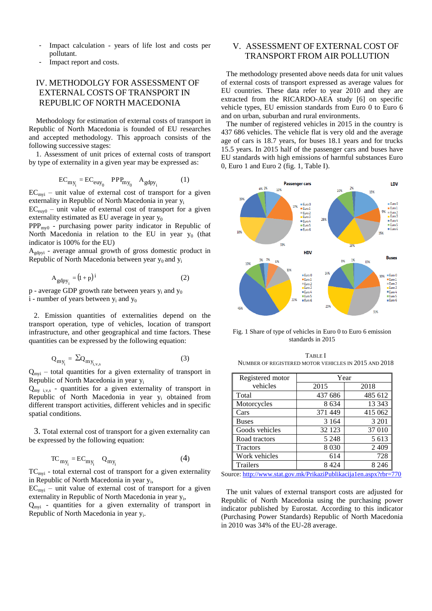- Impact calculation years of life lost and costs per pollutant.
- Impact report and costs.

## IV. METHODOLGY FOR ASSESSMENT OF EXTERNAL COSTS OF TRANSPORT IN REPUBLIC OF NORTH MACEDONIA

Methodology for estimation of external costs of transport in Republic of North Macedonia is founded of EU researches and accepted methodology. This approach consists of the following successive stages:

1. Assessment of unit prices of external costs of transport by type of externality in a given year may be expressed as:

$$
EC_{my_i} = EC_{euy_0} \quad PPP_{my_0} \quad A_{gdpy_i} \tag{1}
$$

 $EC<sub>mvi</sub>$  – unit value of external cost of transport for a given externality in Republic of North Macedonia in year y<sup>i</sup>

 $EC<sub>env0</sub>$  – unit value of external cost of transport for a given externality estimated as EU average in year  $y_0$ 

PPPmy0 - purchasing power parity indicator in Republic of North Macedonia in relation to the EU in year  $y_0$  (that indicator is 100% for the EU)

 $A<sub>edovi</sub>$  - average annual growth of gross domestic product in Republic of North Macedonia between year  $y_0$  and  $y_i$ 

$$
A_{\text{gdpy}_i} = (1 + p)^i \tag{2}
$$

 $p - a$  verage GDP growth rate between years  $v_i$  and  $v_0$ 

i - number of years between  $y_i$  and  $y_0$ 

2. Emission quantities of externalities depend on the transport operation, type of vehicles, location of transport infrastructure, and other geographical and time factors. These quantities can be expressed by the following equation:

$$
Q_{my_i} = \Sigma Q_{my_{i,v,s}} \tag{3}
$$

 $Q_{\text{mvi}}$  – total quantities for a given externality of transport in Republic of North Macedonia in year y<sup>i</sup>

 $Q_{my}$  i, v,s - quantities for a given externality of transport in Republic of North Macedonia in year  $y_i$  obtained from different transport activities, different vehicles and in specific spatial conditions.

3. Total external cost of transport for a given externality can be expressed by the following equation:

$$
TC_{my_i} = EC_{my_i} \t Q_{my_i} \t (4)
$$

 $TC<sub>myi</sub>$  - total external cost of transport for a given externality in Republic of North Macedonia in year y<sub>i</sub>,

 $EC_{\text{mvi}}$  – unit value of external cost of transport for a given externality in Republic of North Macedonia in year y<sub>i</sub>,

 $Q_{\text{mvi}}$  - quantities for a given externality of transport in Republic of North Macedonia in year y<sub>i</sub>.

## V. ASSESSMENT OF EXTERNAL COST OF TRANSPORT FROM AIR POLLUTION

The methodology presented above needs data for unit values of external costs of transport expressed as average values for EU countries. These data refer to year 2010 and they are extracted from the RICARDO-AEA study [6] on specific vehicle types, EU emission standards from Euro 0 to Euro 6 and on urban, suburban and rural environments.

The number of registered vehicles in 2015 in the country is 437 686 vehicles. The vehicle flat is very old and the average age of cars is 18.7 years, for buses 18.1 years and for trucks 15.5 years. In 2015 half of the passenger cars and buses have EU standards with high emissions of harmful substances Euro 0, Euro 1 and Euro 2 (fig. 1, Table I).



Fig. 1 Share of type of vehicles in Euro 0 to Euro 6 emission standards in 2015

TABLE I NUMBER OF REGISTERED MOTOR VEHICLES IN 2015 AND 2018

| Registered motor | Year    |         |  |
|------------------|---------|---------|--|
| vehicles         | 2015    | 2018    |  |
| Total            | 437 686 | 485 612 |  |
| Motorcycles      | 8 6 3 4 | 13 343  |  |
| Cars             | 371 449 | 415 062 |  |
| <b>Buses</b>     | 3 1 6 4 | 3 2 0 1 |  |
| Goods vehicles   | 32 123  | 37 010  |  |
| Road tractors    | 5 2 4 8 | 5 613   |  |
| <b>Tractors</b>  | 8 0 3 0 | 2409    |  |
| Work vehicles    | 614     | 728     |  |
| Trailers         | 8 4 2 4 | 8 2 4 6 |  |

Source: <http://www.stat.gov.mk/PrikaziPublikacija1en.aspx?rbr=770>

The unit values of external transport costs are adjusted for Republic of North Macedonia using the purchasing power indicator published by Eurostat. According to this indicator (Purchasing Power Standards) Republic of North Macedonia in 2010 was 34% of the EU-28 average.